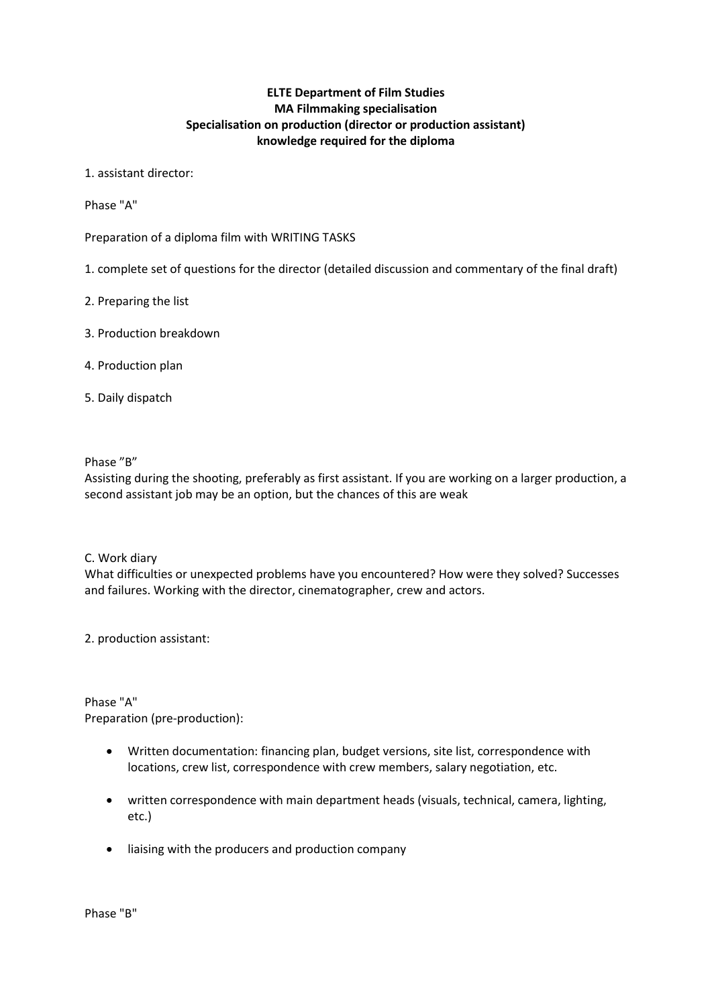# **ELTE Department of Film Studies MA Filmmaking specialisation Specialisation on production (director or production assistant) knowledge required for the diploma**

### 1. assistant director:

Phase "A"

Preparation of a diploma film with WRITING TASKS

- 1. complete set of questions for the director (detailed discussion and commentary of the final draft)
- 2. Preparing the list
- 3. Production breakdown
- 4. Production plan
- 5. Daily dispatch

### Phase "B"

Assisting during the shooting, preferably as first assistant. If you are working on a larger production, a second assistant job may be an option, but the chances of this are weak

### C. Work diary

What difficulties or unexpected problems have you encountered? How were they solved? Successes and failures. Working with the director, cinematographer, crew and actors.

2. production assistant:

Phase "A" Preparation (pre-production):

- Written documentation: financing plan, budget versions, site list, correspondence with locations, crew list, correspondence with crew members, salary negotiation, etc.
- written correspondence with main department heads (visuals, technical, camera, lighting, etc.)
- liaising with the producers and production company